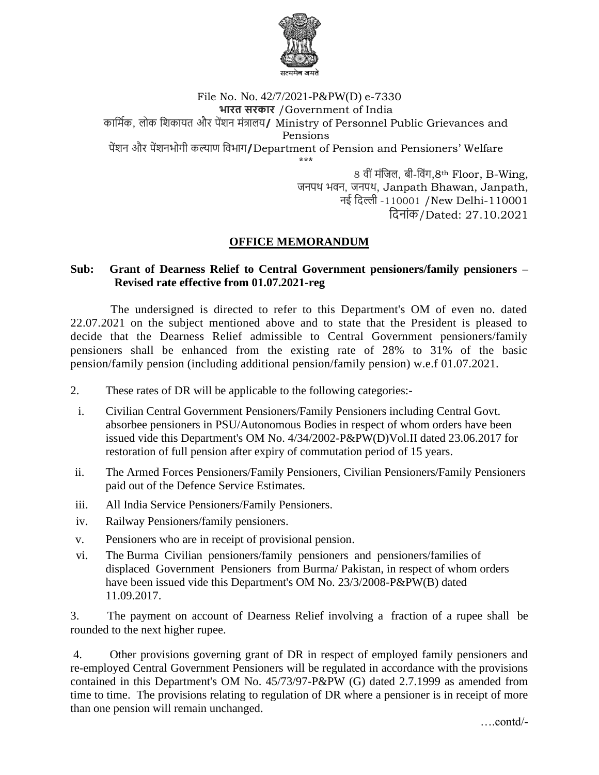

## File No. No. 42/7/2021-P&PW(D) e-7330 **भारत सरकार** /Government of India कार्मिक, लोक र्िकायत और पेंिन मंत्रालय**/** Ministry of Personnel Public Grievances and Pensions पेंिन और पेंिनभोगी कल्याण र्िभाग**/**Department of Pension and Pensioners' Welfare \*\*\*

8 िी ंमंर्िल, बी-र्िंग,8th Floor, B-Wing, जनपथ भवन, जनपथ, Janpath Bhawan, Janpath, नई र्िल्ली -110001 /New Delhi-110001 र्िनांक/Dated: 27.10.2021

## **OFFICE MEMORANDUM**

## **Sub: Grant of Dearness Relief to Central Government pensioners/family pensioners – Revised rate effective from 01.07.2021-reg**

The undersigned is directed to refer to this Department's OM of even no. dated 22.07.2021 on the subject mentioned above and to state that the President is pleased to decide that the Dearness Relief admissible to Central Government pensioners/family pensioners shall be enhanced from the existing rate of 28% to 31% of the basic pension/family pension (including additional pension/family pension) w.e.f 01.07.2021.

- 2. These rates of DR will be applicable to the following categories:-
- i. Civilian Central Government Pensioners/Family Pensioners including Central Govt. absorbee pensioners in PSU/Autonomous Bodies in respect of whom orders have been issued vide this Department's OM No. 4/34/2002-P&PW(D)Vol.II dated 23.06.2017 for restoration of full pension after expiry of commutation period of 15 years.
- ii. The Armed Forces Pensioners/Family Pensioners, Civilian Pensioners/Family Pensioners paid out of the Defence Service Estimates.
- iii. All India Service Pensioners/Family Pensioners.
- iv. Railway Pensioners/family pensioners.
- v. Pensioners who are in receipt of provisional pension.
- vi. The Burma Civilian pensioners/family pensioners and pensioners/families of displaced Government Pensioners from Burma/ Pakistan, in respect of whom orders have been issued vide this Department's OM No. 23/3/2008-P&PW(B) dated 11.09.2017.

3. The payment on account of Dearness Relief involving a fraction of a rupee shall be rounded to the next higher rupee.

4. Other provisions governing grant of DR in respect of employed family pensioners and re-employed Central Government Pensioners will be regulated in accordance with the provisions contained in this Department's OM No. 45/73/97-P&PW (G) dated 2.7.1999 as amended from time to time. The provisions relating to regulation of DR where a pensioner is in receipt of more than one pension will remain unchanged.

….contd/-